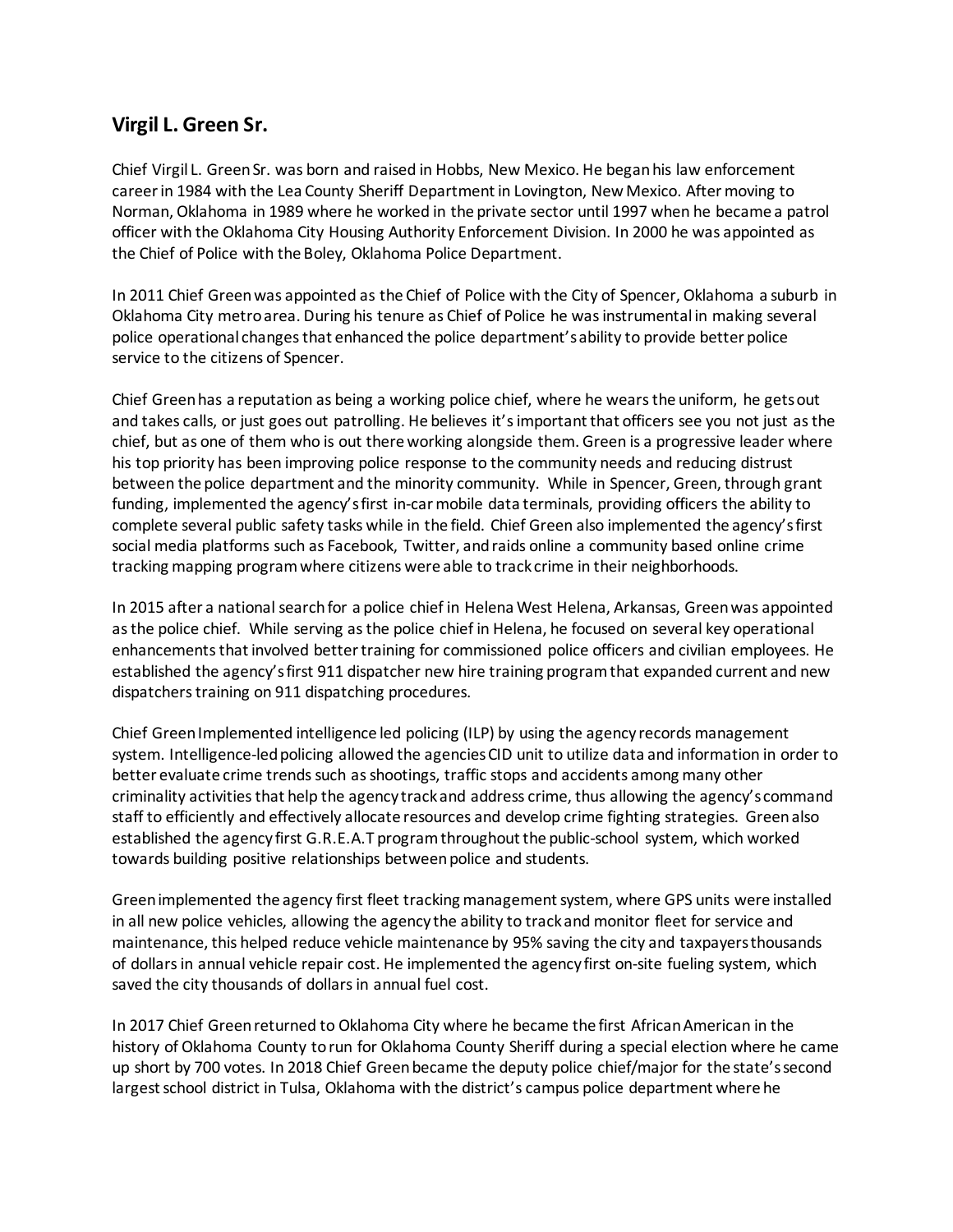## **Virgil L. Green Sr.**

Chief Virgil L. GreenSr. was born and raised in Hobbs, New Mexico. He began his law enforcement careerin 1984 with the Lea County Sheriff Departmentin Lovington, NewMexico. Aftermoving to Norman, Oklahoma in 1989 where he worked in the private sector until 1997 when he became a patrol officer with the Oklahoma City Housing Authority Enforcement Division. In 2000 he was appointed as the Chief of Police with the Boley, Oklahoma Police Department.

In 2011 Chief Greenwas appointed as the Chief of Police with the City of Spencer, Oklahoma a suburb in Oklahoma City metroarea. During his tenure as Chief of Police he was instrumental in making several police operational changes that enhanced the police department'sability to provide better police service to the citizens of Spencer.

Chief Green has a reputation as being a working police chief, where he wears the uniform, he getsout and takes calls, or just goes out patrolling. He believes it'simportant that officers see you not just as the chief, but as one of them who is out there working alongside them. Green is a progressive leader where his top priority has been improving police response to the community needs and reducing distrust between the police department and the minority community. While in Spencer, Green, through grant funding, implemented the agency's first in-car mobile data terminals, providing officers the ability to complete several public safety tasks while in the field. Chief Green also implemented the agency's first social media platforms such as Facebook, Twitter, and raids online a community based online crime tracking mapping programwhere citizens were able to track crime in their neighborhoods.

In 2015 after a national search for a police chief in Helena West Helena, Arkansas, Green was appointed as the police chief. While serving as the police chief in Helena, he focused on several key operational enhancements thatinvolved bettertraining for commissioned police officers and civilian employees. He established the agency'sfirst 911 dispatcher new hire training programthat expanded current and new dispatchers training on 911 dispatching procedures.

Chief Green Implemented intelligence led policing (ILP) by using the agency records management system. Intelligence-led policing allowed the agencies CID unit to utilize data and information in order to better evaluate crime trends such as shootings, traffic stops and accidents among many other criminality activities that help the agency track and address crime, thus allowing the agency's command staff to efficiently and effectively allocate resources and develop crime fighting strategies. Greenalso established the agency first G.R.E.A.T program throughout the public-school system, which worked towards building positive relationships between police and students.

Green implemented the agency first fleet tracking management system, where GPS units were installed in all new police vehicles, allowing the agency the ability to trackand monitor fleet for service and maintenance, this helped reduce vehicle maintenance by 95% saving the city and taxpayersthousands of dollars in annual vehicle repair cost. He implemented the agency first on-site fueling system, which saved the city thousands of dollars in annual fuel cost.

In 2017 Chief Green returned to Oklahoma City where he became the first African American in the history of Oklahoma County torun for Oklahoma County Sheriff during a special election where he came up short by 700 votes. In 2018 Chief Greenbecame the deputy police chief/major for the state's second largest school district in Tulsa, Oklahoma with the district's campus police department where he